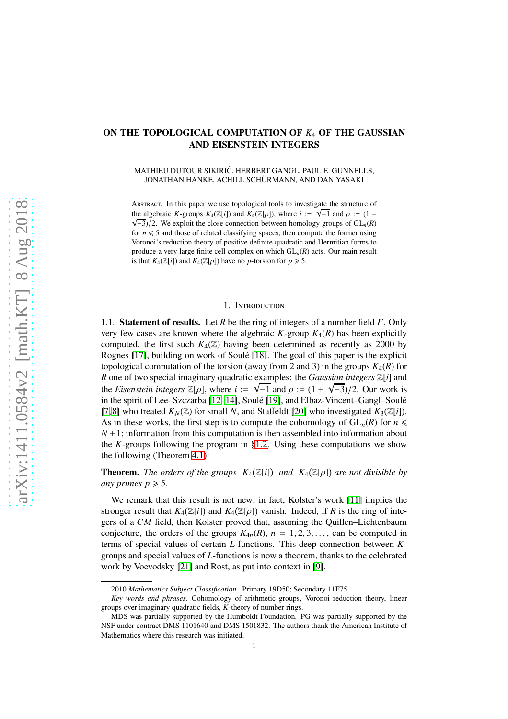## ON THE TOPOLOGICAL COMPUTATION OF *K*<sup>4</sup> OF THE GAUSSIAN AND EISENSTEIN INTEGERS

MATHIEU DUTOUR SIKIRIC, HERBERT GANGL, PAUL E. GUNNELLS, ´ JONATHAN HANKE, ACHILL SCHÜRMANN, AND DAN YASAKI

Abstract. In this paper we use topological tools to investigate the structure of the algebraic *K*-groups  $K_4(\mathbb{Z}[i])$  and  $K_4(\mathbb{Z}[\rho])$ , where  $i := \sqrt{-1}$  and  $\rho := (1 + i)$  $\sqrt{-3}$ )/2. We exploit the close connection between homology groups of  $GL_n(R)$ for  $n \leq 5$  and those of related classifying spaces, then compute the former using Voronoi's reduction theory of positive definite quadratic and Hermitian forms to produce a very large finite cell complex on which GL*n*(*R*) acts. Our main result is that  $K_4(\mathbb{Z}[i])$  and  $K_4(\mathbb{Z}[\rho])$  have no *p*-torsion for  $p \ge 5$ .

## 1. Introduction

1.1. Statement of results. Let *R* be the ring of integers of a number field *F*. Only very few cases are known where the algebraic  $K$ -group  $K_4(R)$  has been explicitly computed, the first such  $K_4(\mathbb{Z})$  having been determined as recently as 2000 by Rognes [\[17\]](#page-8-0), building on work of Soulé [\[18\]](#page-8-1). The goal of this paper is the explicit topological computation of the torsion (away from 2 and 3) in the groups  $K_4(R)$  for *R* one of two special imaginary quadratic examples: the *Gaussian integers* Z[*i*] and the *Eisenstein integers*  $\mathbb{Z}[\rho]$ , where  $i := \sqrt{-1}$  and  $\rho := (1 + \sqrt{-3})/2$ . Our work is in the spirit of Lee–Szczarba [\[12–](#page-8-2)[14\]](#page-8-3), Soulé [\[19\]](#page-8-4), and Elbaz-Vincent–Gangl–Soulé [\[7,](#page-8-5) [8\]](#page-8-6) who treated  $K_N(\mathbb{Z})$  for small N, and Staffeldt [\[20\]](#page-8-7) who investigated  $K_3(\mathbb{Z}[i])$ . As in these works, the first step is to compute the cohomology of  $GL_n(R)$  for  $n \leq$ *N* +1; information from this computation is then assembled into information about the *K*-groups following the program in [§1.2.](#page-1-0) Using these computations we show the following (Theorem [4.1\)](#page-7-0):

**Theorem.** The orders of the groups  $K_4(\mathbb{Z}[i])$  and  $K_4(\mathbb{Z}[\rho])$  are not divisible by *any primes*  $p \ge 5$ *.* 

We remark that this result is not new; in fact, Kolster's work [\[11\]](#page-8-8) implies the stronger result that  $K_4(\mathbb{Z}[i])$  and  $K_4(\mathbb{Z}[\rho])$  vanish. Indeed, if *R* is the ring of integers of a *CM* field, then Kolster proved that, assuming the Quillen–Lichtenbaum conjecture, the orders of the groups  $K_{4n}(R)$ ,  $n = 1, 2, 3, \ldots$ , can be computed in terms of special values of certain *L*-functions. This deep connection between *K*groups and special values of *L*-functions is now a theorem, thanks to the celebrated work by Voevodsky [\[21\]](#page-8-9) and Rost, as put into context in [\[9\]](#page-8-10).

<sup>2010</sup> *Mathematics Subject Classification.* Primary 19D50; Secondary 11F75.

*Key words and phrases.* Cohomology of arithmetic groups, Voronoi reduction theory, linear groups over imaginary quadratic fields, *K*-theory of number rings.

MDS was partially supported by the Humboldt Foundation. PG was partially supported by the NSF under contract DMS 1101640 and DMS 1501832. The authors thank the American Institute of Mathematics where this research was initiated.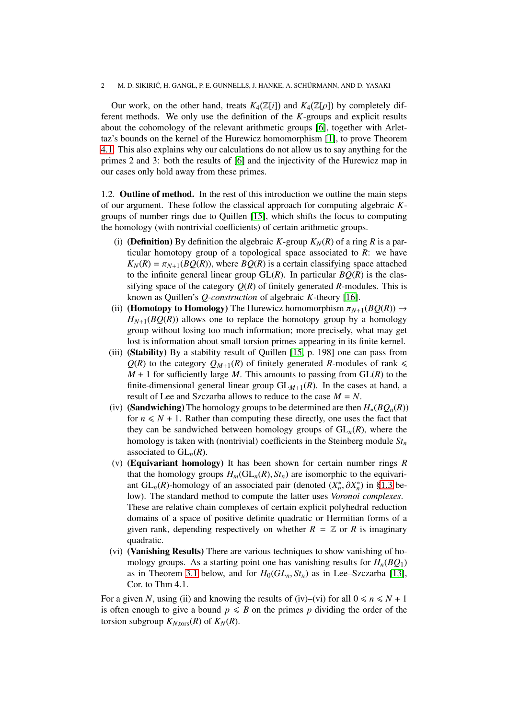Our work, on the other hand, treats  $K_4(\mathbb{Z}[i])$  and  $K_4(\mathbb{Z}[\rho])$  by completely different methods. We only use the definition of the *K*-groups and explicit results about the cohomology of the relevant arithmetic groups [\[6\]](#page-8-11), together with Arlettaz's bounds on the kernel of the Hurewicz homomorphism [\[1\]](#page-8-12), to prove Theorem [4.1.](#page-7-0) This also explains why our calculations do not allow us to say anything for the primes 2 and 3: both the results of [\[6\]](#page-8-11) and the injectivity of the Hurewicz map in our cases only hold away from these primes.

<span id="page-1-0"></span>1.2. Outline of method. In the rest of this introduction we outline the main steps of our argument. These follow the classical approach for computing algebraic *K*groups of number rings due to Quillen [\[15\]](#page-8-13), which shifts the focus to computing the homology (with nontrivial coefficients) of certain arithmetic groups.

- (i) **(Definition)** By definition the algebraic *K*-group  $K_N(R)$  of a ring *R* is a particular homotopy group of a topological space associated to *R*: we have  $K_N(R) = \pi_{N+1}(BQ(R))$ , where  $BQ(R)$  is a certain classifying space attached to the infinite general linear group  $GL(R)$ . In particular  $BQ(R)$  is the classifying space of the category  $Q(R)$  of finitely generated *R*-modules. This is known as Quillen's *Q-construction* of algebraic *K*-theory [\[16\]](#page-8-14).
- (ii) (**Homotopy to Homology**) The Hurewicz homomorphism  $\pi_{N+1}(BQ(R)) \rightarrow$  $H_{N+1}(BQ(R))$  allows one to replace the homotopy group by a homology group without losing too much information; more precisely, what may get lost is information about small torsion primes appearing in its finite kernel.
- (iii) (Stability) By a stability result of Quillen [\[15,](#page-8-13) p. 198] one can pass from  $Q(R)$  to the category  $Q_{M+1}(R)$  of finitely generated *R*-modules of rank  $\leq$  $M + 1$  for sufficiently large *M*. This amounts to passing from  $GL(R)$  to the finite-dimensional general linear group  $GL_{M+1}(R)$ . In the cases at hand, a result of Lee and Szczarba allows to reduce to the case *M* = *N*.
- (iv) (Sandwiching) The homology groups to be determined are then  $H_*(BQ_n(R))$ for  $n \leq N + 1$ . Rather than computing these directly, one uses the fact that they can be sandwiched between homology groups of  $GL_n(R)$ , where the homology is taken with (nontrivial) coefficients in the Steinberg module *St<sup>n</sup>* associated to  $GL_n(R)$ .
- (v) (Equivariant homology) It has been shown for certain number rings *R* that the homology groups  $H_m(\mathrm{GL}_n(R), St_n)$  are isomorphic to the equivariant  $GL_n(R)$ -homology of an associated pair (denoted  $(X_n^*, \partial X_n^*)$  in [§1.3](#page-1-1) below). The standard method to compute the latter uses *Voronoi complexes*. These are relative chain complexes of certain explicit polyhedral reduction domains of a space of positive definite quadratic or Hermitian forms of a given rank, depending respectively on whether  $R = \mathbb{Z}$  or  $R$  is imaginary quadratic.
- (vi) (Vanishing Results) There are various techniques to show vanishing of homology groups. As a starting point one has vanishing results for  $H_n(BQ_1)$ as in Theorem [3.1](#page-6-0) below, and for  $H_0(GL_n, St_n)$  as in Lee–Szczarba [\[13\]](#page-8-15), Cor. to Thm 4.1.

<span id="page-1-1"></span>For a given N, using (ii) and knowing the results of (iv)–(vi) for all  $0 \le n \le N + 1$ is often enough to give a bound  $p \leq B$  on the primes p dividing the order of the torsion subgroup  $K_{N,\text{tors}}(R)$  of  $K_N(R)$ .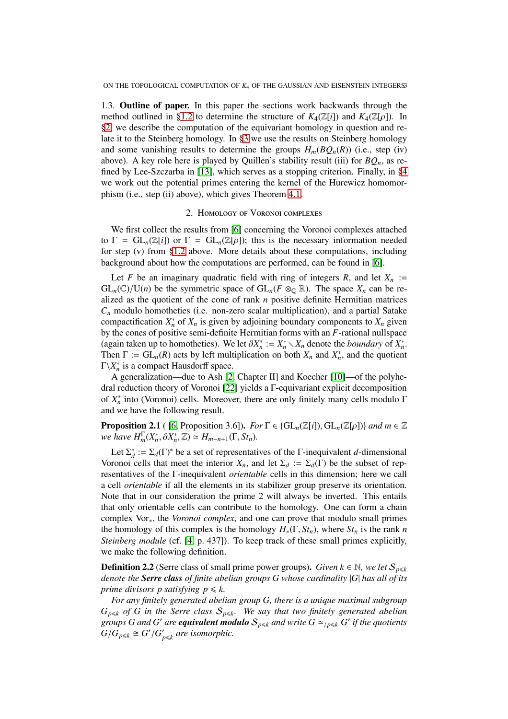1.3. Outline of paper. In this paper the sections work backwards through the method outlined in [§1.2](#page-1-0) to determine the structure of  $K_4(\mathbb{Z}[i])$  and  $K_4(\mathbb{Z}[\rho])$ . In [§2,](#page-2-0) we describe the computation of the equivariant homology in question and relate it to the Steinberg homology. In [§3](#page-6-1) we use the results on Steinberg homology and some vanishing results to determine the groups  $H_m(BQ_n(R))$  (i.e., step (iv) above). A key role here is played by Quillen's stability result (iii) for  $BQ_n$ , as refined by Lee-Szczarba in [\[13\]](#page-8-15), which serves as a stopping criterion. Finally, in [§4](#page-7-1) we work out the potential primes entering the kernel of the Hurewicz homomorphism (i.e., step (ii) above), which gives Theorem [4.1.](#page-7-0)

## 2. Homology of Voronoi complexes

<span id="page-2-0"></span>We first collect the results from [\[6\]](#page-8-11) concerning the Voronoi complexes attached to  $\Gamma = GL_n(\mathbb{Z}[i])$  or  $\Gamma = GL_n(\mathbb{Z}[\rho])$ ; this is the necessary information needed for step (v) from [§1.2](#page-1-0) above. More details about these computations, including background about how the computations are performed, can be found in [\[6\]](#page-8-11).

Let *F* be an imaginary quadratic field with ring of integers *R*, and let  $X_n$  :=  $GL_n(\mathbb{C})/U(n)$  be the symmetric space of  $GL_n(F \otimes_{\mathbb{Q}} \mathbb{R})$ . The space  $X_n$  can be realized as the quotient of the cone of rank *n* positive definite Hermitian matrices *C<sup>n</sup>* modulo homotheties (i.e. non-zero scalar multiplication), and a partial Satake compactification  $X_n^*$  of  $X_n$  is given by adjoining boundary components to  $X_n$  given by the cones of positive semi-definite Hermitian forms with an *F*-rational nullspace (again taken up to homotheties). We let  $\partial X_n^* := X_n^* \setminus X_n$  denote the *boundary* of  $X_n^*$ . Then  $\Gamma := GL_n(R)$  acts by left multiplication on both  $X_n$  and  $X_n^*$ , and the quotient  $\Gamma \backslash X_n^*$  is a compact Hausdorff space.

A generalization—due to Ash [\[2,](#page-8-16) Chapter II] and Koecher [\[10\]](#page-8-17)—of the polyhedral reduction theory of Voronoi [\[22\]](#page-8-18) yields a Γ-equivariant explicit decomposition of  $X_n^*$  into (Voronoi) cells. Moreover, there are only finitely many cells modulo  $\Gamma$ and we have the following result.

**Proposition 2.1** ( [\[6,](#page-8-11) Proposition 3.6]). *For*  $\Gamma \in \{GL_n(\mathbb{Z}[i]), GL_n(\mathbb{Z}[\rho])\}$  *and*  $m \in \mathbb{Z}$ *we have*  $H_m^{\Gamma}(X_n^*, \partial X_n^*, \mathbb{Z}) \simeq H_{m-n+1}(\Gamma, St_n).$ 

Let  $\Sigma_d^* := \Sigma_d(\Gamma)^*$  be a set of representatives of the Γ-inequivalent *d*-dimensional Voronoi cells that meet the interior  $X_n$ , and let  $\Sigma_d := \Sigma_d(\Gamma)$  be the subset of representatives of the Γ-inequivalent *orientable* cells in this dimension; here we call a cell *orientable* if all the elements in its stabilizer group preserve its orientation. Note that in our consideration the prime 2 will always be inverted. This entails that only orientable cells can contribute to the homology. One can form a chain complex Vor∗, the *Voronoi complex*, and one can prove that modulo small primes the homology of this complex is the homology  $H_*(\Gamma, St_n)$ , where  $St_n$  is the rank *n Steinberg module* (cf. [\[4,](#page-8-19) p. 437]). To keep track of these small primes explicitly, we make the following definition.

<span id="page-2-1"></span>**Definition 2.2** (Serre class of small prime power groups). *Given*  $k \in \mathbb{N}$ , we let  $S_{p \leq k}$ *denote the Serre class of finite abelian groups G whose cardinality* |*G*| *has all of its prime divisors p satisfying*  $p \le k$ *.* 

*For any finitely generated abelian group G, there is a unique maximal subgroup*  $G_{p\leq k}$  *of G in the Serre class*  $S_{p\leq k}$ *. We say that two finitely generated abelian* groups G and G' are **equivalent modulo**  $S_{p\leq k}$  and write  $G \simeq_{/p\leq k} G'$  if the quotients  $G/G_{p\leq k} \cong G'/G'_{p\leq k}$  are isomorphic.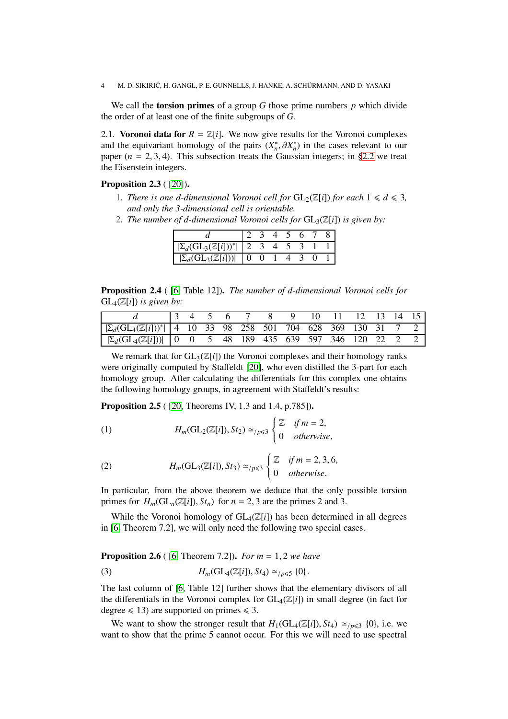We call the torsion primes of a group *G* those prime numbers *p* which divide the order of at least one of the finite subgroups of *G*.

2.1. Voronoi data for  $R = \mathbb{Z}[i]$ . We now give results for the Voronoi complexes and the equivariant homology of the pairs  $(X_n^*, \partial X_n^*)$  in the cases relevant to our paper  $(n = 2, 3, 4)$ . This subsection treats the Gaussian integers; in [§2.2](#page-4-0) we treat the Eisenstein integers.

Proposition 2.3 ( [\[20\]](#page-8-7)).

- 1. *There is one d-dimensional Voronoi cell for*  $GL_2(\mathbb{Z}[i])$  *for each*  $1 \leq d \leq 3$ *, and only the 3-dimensional cell is orientable.*
- 2. *The number of d-dimensional Voronoi cells for*  $GL_3(\mathbb{Z}[i])$  *is given by:*

| $ \Sigma_d(\mathrm{GL}_3(\mathbb{Z}[i]))^* $    |                   |  |  |  |
|-------------------------------------------------|-------------------|--|--|--|
| $\Gamma \$ (GL $_2$ ( $\mathbb{Z}$ [ <i>i</i> ] | $\mathbf{\Omega}$ |  |  |  |

Proposition 2.4 ( [\[6,](#page-8-11) Table 12]). *The number of d-dimensional Voronoi cells for*  $GL_4(\mathbb{Z}[i])$  *is given by:* 

|                                                                                    |  |  | 4 5 6 7 |  | - 10 | 11 12 13 14 15 |  |  |
|------------------------------------------------------------------------------------|--|--|---------|--|------|----------------|--|--|
| $ \sum_{d}(\text{GL}_4(\mathbb{Z}[i]))^* $ 4 10 33 98 258 501 704 628 369 130 31 7 |  |  |         |  |      |                |  |  |
| $ \Sigma_d(\mathrm{GL}_4(\mathbb{Z}[i])) $ 0 0 5 48 189 435 639 597 346 120 22 2   |  |  |         |  |      |                |  |  |

We remark that for  $GL_3(\mathbb{Z}[i])$  the Voronoi complexes and their homology ranks were originally computed by Staffeldt [\[20\]](#page-8-7), who even distilled the 3-part for each homology group. After calculating the differentials for this complex one obtains the following homology groups, in agreement with Staffeldt's results:

**Proposition 2.5** ( [\[20,](#page-8-7) Theorems IV, 1.3 and 1.4, p.785]).

<span id="page-3-0"></span>(1) 
$$
H_m(\mathrm{GL}_2(\mathbb{Z}[i]), St_2) \simeq_{/p \leq 3} \begin{cases} \mathbb{Z} & \text{if } m = 2, \\ 0 & \text{otherwise,} \end{cases}
$$

<span id="page-3-1"></span>(2) 
$$
H_m(\text{GL}_3(\mathbb{Z}[i]), St_3) \simeq_{/p \leq 3} \begin{cases} \mathbb{Z} & \text{if } m = 2, 3, 6, \\ 0 & \text{otherwise.} \end{cases}
$$

In particular, from the above theorem we deduce that the only possible torsion primes for  $H_m(\mathrm{GL}_n(\mathbb{Z}[i]), S_t)_n$  for  $n = 2, 3$  are the primes 2 and 3.

While the Voronoi homology of  $GL_4(\mathbb{Z}[i])$  has been determined in all degrees in [\[6,](#page-8-11) Theorem 7.2], we will only need the following two special cases.

<span id="page-3-2"></span>Proposition 2.6 ( [\[6,](#page-8-11) Theorem 7.2]). *For m* = 1, 2 *we have*

(3) 
$$
H_m(\text{GL}_4(\mathbb{Z}[i]), St_4) \simeq_{/p \leq 5} \{0\}.
$$

The last column of [\[6,](#page-8-11) Table 12] further shows that the elementary divisors of all the differentials in the Voronoi complex for  $GL_4(\mathbb{Z}[i])$  in small degree (in fact for degree  $\leq 13$ ) are supported on primes  $\leq 3$ .

We want to show the stronger result that  $H_1(GL_4(\mathbb{Z}[i]), St_4) \simeq_{/p \leq 3} \{0\}$ , i.e. we want to show that the prime 5 cannot occur. For this we will need to use spectral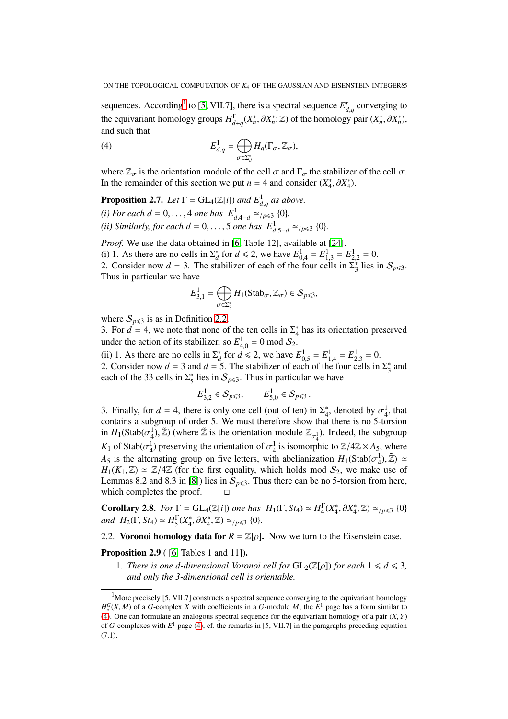sequences. According<sup>[1](#page-4-1)</sup> to [\[5,](#page-8-20) VII.7], there is a spectral sequence  $E_{d,q}^r$  converging to the equivariant homology groups  $H_{d+q}^{\Gamma}(X_n^*, \partial X_n^*; \mathbb{Z})$  of the homology pair  $(X_n^*, \partial X_n^*),$ and such that

<span id="page-4-2"></span>(4) 
$$
E_{d,q}^1 = \bigoplus_{\sigma \in \Sigma_d^*} H_q(\Gamma_\sigma, \mathbb{Z}_\sigma),
$$

where  $\mathbb{Z}_{\sigma}$  is the orientation module of the cell  $\sigma$  and  $\Gamma_{\sigma}$  the stabilizer of the cell  $\sigma$ . In the remainder of this section we put *n* = 4 and consider  $(X_4^*, \partial X_4^*)$ .

<span id="page-4-3"></span>**Proposition 2.7.** *Let*  $\Gamma = GL_4(\mathbb{Z}[i])$  *and*  $E^1_{d,q}$  *as above. (i) For each d* = 0, ..., 4 *one has*  $E^1_{d,4-d} \simeq p \leq 3$  {0}*. (ii)* Similarly, for each  $d = 0, ..., 5$  one has  $E^1_{d,5-d} \approx_{/p \leq 3} \{0\}.$ 

*Proof.* We use the data obtained in [\[6,](#page-8-11) Table 12], available at [\[24\]](#page-8-21).

(i) 1. As there are no cells in  $\Sigma_d^*$  for  $d \le 2$ , we have  $E_{0,4}^1 = E_{1,3}^1 = E_{2,2}^1 = 0$ .

2. Consider now  $d = 3$ . The stabilizer of each of the four cells in  $\sum_{3}^{8}$  lies in  $S_{p \le 3}$ . Thus in particular we have

$$
E_{3,1}^1 = \bigoplus_{\sigma \in \Sigma_3^*} H_1(\text{Stab}_{\sigma}, \mathbb{Z}_{\sigma}) \in \mathcal{S}_{p \leq 3},
$$

where  $S_{p\leqslant3}$  is as in Definition [2.2.](#page-2-1)

3. For  $d = 4$ , we note that none of the ten cells in  $\Sigma_4^*$  has its orientation preserved under the action of its stabilizer, so  $E_{4,0}^1 = 0 \mod S_2$ .

(ii) 1. As there are no cells in  $\Sigma_d^*$  for  $d \le 2$ , we have  $E_{0,5}^1 = E_{1,4}^1 = E_{2,3}^1 = 0$ . 2. Consider now  $d = 3$  and  $d = 5$ . The stabilizer of each of the four cells in  $\Sigma_3^*$  and

each of the 33 cells in 
$$
\Sigma_5^*
$$
 lies in  $S_{p\leq 3}$ . Thus in particular we have  
\n $E_{3,2}^1 \in S_{p\leq 3}$ ,  $E_{5,0}^1 \in S_{p\leq 3}$ .

3. Finally, for  $d = 4$ , there is only one cell (out of ten) in  $\Sigma_4^*$ , denoted by  $\sigma_4^1$ , that contains a subgroup of order 5. We must therefore show that there is no 5-torsion in  $H_1(\text{Stab}(\sigma_4^1), \tilde{Z})$  (where  $\tilde{Z}$  is the orientation module  $\mathbb{Z}_{\sigma_4^1}$ ). Indeed, the subgroup *K*<sub>1</sub> of Stab( $\sigma_4^1$ ) preserving the orientation of  $\sigma_4^1$  is isomorphic to  $\mathbb{Z}/4\mathbb{Z} \times A_5$ , where *A*<sub>5</sub> is the alternating group on five letters, with abelianization  $H_1(\text{Stab}(\sigma_4^1), \mathbb{Z}) \simeq$  $H_1(K_1, \mathbb{Z}) \simeq \mathbb{Z}/4\mathbb{Z}$  (for the first equality, which holds mod  $S_2$ , we make use of Lemmas 8.2 and 8.3 in [\[8\]](#page-8-6)) lies in  $S_{p \leq 3}$ . Thus there can be no 5-torsion from here, which completes the proof.  $\Box$ 

**Corollary 2.8.** *For*  $\Gamma = GL_4(\mathbb{Z}[i])$  *one has*  $H_1(\Gamma, St_4) \simeq H_4^{\Gamma}$  $^{1}_{4}(X_{4}^{*}, \partial X_{4}^{*}, \mathbb{Z}) \simeq_{/p \leq 3} \{0\}$ *and*  $H_2(\Gamma, St_4) \simeq H_5^{\Gamma}$  $\frac{1}{5}(X_4^*, \partial X_4^*, \mathbb{Z}) \simeq_{/p \leq 3} \{0\}.$ 

<span id="page-4-0"></span>2.2. Voronoi homology data for  $R = \mathbb{Z}[\rho]$ . Now we turn to the Eisenstein case.

## **Proposition 2.9** ( [\[6,](#page-8-11) Tables 1 and 11]).

1. *There is one d-dimensional Voronoi cell for*  $GL_2(\mathbb{Z}[\rho])$  *for each*  $1 \leq d \leq 3$ *, and only the 3-dimensional cell is orientable.*

<span id="page-4-1"></span><sup>&</sup>lt;sup>1</sup>More precisely [5, VII.7] constructs a spectral sequence converging to the equivariant homology  $H_*^G(X, M)$  of a *G*-complex *X* with coefficients in a *G*-module *M*; the *E*<sup>1</sup> page has a form similar to [\(4\)](#page-4-2). One can formulate an analogous spectral sequence for the equivariant homology of a pair (*X*, *Y*) of *G*-complexes with *E* <sup>1</sup> page [\(4\)](#page-4-2), cf. the remarks in [5, VII.7] in the paragraphs preceding equation (7.1).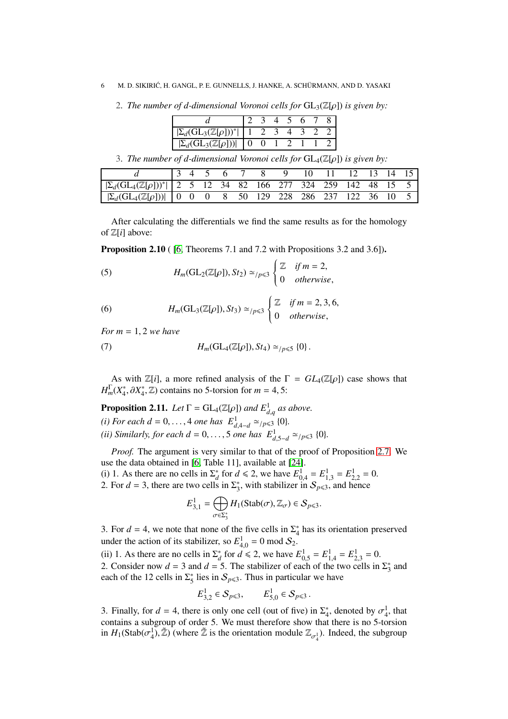- 6 M. D. SIKIRIĆ, H. GANGL, P. E. GUNNELLS, J. HANKE, A. SCHÜRMANN, AND D. YASAKI
	- 2. *The number of d-dimensional Voronoi cells for*  $GL_3(\mathbb{Z}[\rho])$  *is given by:*

| $\Sigma_d(\mathrm{GL}_3(\mathbb{Z}[\rho]))^*$ |  |  |  |  |
|-----------------------------------------------|--|--|--|--|
| $[\Sigma_{d} G]_{2} (\mathbb{Z}[q])$          |  |  |  |  |

3. *The number of d-dimensional Voronoi cells for* GL4(Z[ρ]) *is given by:*

|                                                                                                   |  |  |  |  | 12 13 14 15 |  |  |
|---------------------------------------------------------------------------------------------------|--|--|--|--|-------------|--|--|
| $\left \sum_{d}(\text{GL}_4(\mathbb{Z}[\rho]))^*\right $ 2 5 12 34 82 166 277 324 259 142 48 15 5 |  |  |  |  |             |  |  |
| $ \sum_{d}(\text{GL}_4(\mathbb{Z}[\rho])) $   0 0 0 8 50 129 228 286 237 122 36 10                |  |  |  |  |             |  |  |

After calculating the differentials we find the same results as for the homology of Z[*i*] above:

Proposition 2.10 ( [\[6,](#page-8-11) Theorems 7.1 and 7.2 with Propositions 3.2 and 3.6]).

<span id="page-5-0"></span>(5) 
$$
H_m(\text{GL}_2(\mathbb{Z}[\rho]), St_2) \simeq_{/p \leq 3} \begin{cases} \mathbb{Z} & \text{if } m = 2, \\ 0 & \text{otherwise,} \end{cases}
$$

<span id="page-5-1"></span>(6) 
$$
H_m(\text{GL}_3(\mathbb{Z}[\rho]), St_3) \simeq_{/p \leq 3} \begin{cases} \mathbb{Z} & \text{if } m = 2, 3, 6, \\ 0 & \text{otherwise,} \end{cases}
$$

*For m* = 1, 2 *we have*

(7) 
$$
H_m(\mathrm{GL}_4(\mathbb{Z}[\rho]), St_4) \simeq_{/p \leq 5} \{0\}.
$$

As with  $\mathbb{Z}[i]$ , a more refined analysis of the  $\Gamma = GL_4(\mathbb{Z}[\rho])$  case shows that  $H_m^{\Gamma}(X_4^*, \partial X_4^*, \mathbb{Z})$  contains no 5-torsion for  $m = 4, 5$ :

<span id="page-5-2"></span>**Proposition 2.11.** *Let*  $\Gamma = GL_4(\mathbb{Z}[\rho])$  *and*  $E^1_{d,q}$  *as above.* 

- *(i) For each d* = 0, ..., 4 *one has*  $E^1_{d,4-d} \simeq_{/p \leq 3} \{0\}.$
- *(ii)* Similarly, for each  $d = 0, ..., 5$  one has  $E^1_{d,5-d} \approx_{/p \leq 3} \{0\}.$

*Proof.* The argument is very similar to that of the proof of Proposition [2.7.](#page-4-3) We use the data obtained in [\[6,](#page-8-11) Table 11], available at [\[24\]](#page-8-21).

(i) 1. As there are no cells in  $\Sigma_d^*$  for  $d \le 2$ , we have  $E_{0,4}^1 = E_{1,3}^1 = E_{2,2}^1 = 0$ .

2. For  $d = 3$ , there are two cells in  $\Sigma_3^*$ , with stabilizer in  $S_{p \le 3}$ , and hence

$$
E_{3,1}^1 = \bigoplus_{\sigma \in \Sigma_3^*} H_1(\text{Stab}(\sigma), \mathbb{Z}_\sigma) \in \mathcal{S}_{p \leq 3}.
$$

3. For  $d = 4$ , we note that none of the five cells in  $\Sigma_4^*$  has its orientation preserved under the action of its stabilizer, so  $E_{4,0}^1 = 0 \text{ mod } S_2$ .

(ii) 1. As there are no cells in  $\Sigma_d^*$  for  $d \le 2$ , we have  $E_{0,5}^1 = E_{1,4}^1 = E_{2,3}^1 = 0$ . 2. Consider now  $d = 3$  and  $d = 5$ . The stabilizer of each of the two cells in  $\Sigma_3^*$  and each of the 12 cells in  $\Sigma_5^*$  lies in  $S_{p \le 3}$ . Thus in particular we have

$$
E_{3,2}^1 \in \mathcal{S}_{p \le 3}, \qquad E_{5,0}^1 \in \mathcal{S}_{p \le 3} \, .
$$

3. Finally, for  $d = 4$ , there is only one cell (out of five) in  $\Sigma_4^*$ , denoted by  $\sigma_4^1$ , that contains a subgroup of order 5. We must therefore show that there is no 5-torsion in  $H_1(\text{Stab}(\sigma_4^1), \tilde{Z})$  (where  $\tilde{Z}$  is the orientation module  $\mathbb{Z}_{\sigma_4^1}$ ). Indeed, the subgroup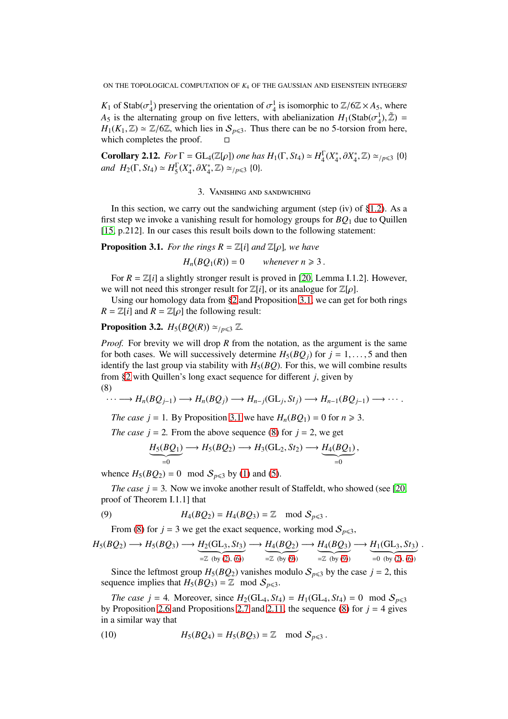*K*<sub>1</sub> of Stab( $\sigma_4^1$ ) preserving the orientation of  $\sigma_4^1$  is isomorphic to  $\mathbb{Z}/6\mathbb{Z} \times A_5$ , where *A*<sub>5</sub> is the alternating group on five letters, with abelianization  $H_1(\text{Stab}(\sigma_4^1), \tilde{Z}) =$ *H*<sub>1</sub>(*K*<sub>1</sub>,  $\mathbb{Z}$ ) ≃  $\mathbb{Z}/6\mathbb{Z}$ , which lies in  $S_{p \le 3}$ . Thus there can be no 5-torsion from here, which completes the proof which completes the proof.

**Corollary 2.12.** *For*  $\Gamma = GL_4(\mathbb{Z}[\rho])$  *one has*  $H_1(\Gamma, St_4) \simeq H_4^{\Gamma}$  $^{1}_{4}(X_{4}^{*}, \partial X_{4}^{*}, \mathbb{Z}) \simeq_{/p \leq 3} \{0\}$ *and*  $H_2(\Gamma, St_4) \simeq H_5^{\Gamma}$  $\frac{1}{5}(X_4^*, \partial X_4^*, \mathbb{Z}) \simeq_{/p \leq 3} \{0\}.$ 

## 3. Vanishing and sandwiching

<span id="page-6-1"></span>In this section, we carry out the sandwiching argument (step (iv) of  $\S1.2$ ). As a first step we invoke a vanishing result for homology groups for *BQ*<sup>1</sup> due to Quillen [\[15,](#page-8-13) p.212]. In our cases this result boils down to the following statement:

<span id="page-6-0"></span>**Proposition 3.1.** *For the rings*  $R = \mathbb{Z}[i]$  *and*  $\mathbb{Z}[\rho]$ *, we have* 

 $H_n(BQ_1(R))$ whenever  $n \geq 3$ .

For  $R = \mathbb{Z}[i]$  a slightly stronger result is proved in [\[20,](#page-8-7) Lemma I.1.2]. However, we will not need this stronger result for  $\mathbb{Z}[i]$ , or its analogue for  $\mathbb{Z}[\rho]$ .

Using our homology data from [§2](#page-2-0) and Proposition [3.1,](#page-6-0) we can get for both rings  $R = \mathbb{Z}[i]$  and  $R = \mathbb{Z}[\rho]$  the following result:

# <span id="page-6-5"></span>**Proposition 3.2.**  $H_5(BQ(R)) \simeq_{/p \leq 3} \mathbb{Z}$ .

*Proof.* For brevity we will drop *R* from the notation, as the argument is the same for both cases. We will successively determine  $H_5(BQ_i)$  for  $j = 1, \ldots, 5$  and then identify the last group via stability with  $H_5(BQ)$ . For this, we will combine results from [§2](#page-2-0) with Quillen's long exact sequence for different *j*, given by (8)

<span id="page-6-2"></span>
$$
\cdots \longrightarrow H_n(BQ_{j-1}) \longrightarrow H_n(BQ_j) \longrightarrow H_{n-j}(\mathbf{GL}_j, St_j) \longrightarrow H_{n-1}(BQ_{j-1}) \longrightarrow \cdots
$$

*The case j* = 1. By Proposition [3.1](#page-6-0) we have  $H_n(BQ_1) = 0$  for  $n \ge 3$ .

*The case j* = 2. From the above sequence [\(8\)](#page-6-2) for  $j = 2$ , we get

$$
\underbrace{H_5(BQ_1)}_{=0} \longrightarrow H_5(BQ_2) \longrightarrow H_3(GL_2, St_2) \longrightarrow \underbrace{H_4(BQ_1)}_{=0},
$$

whence  $H_5(BQ_2) = 0 \mod S_{p \le 3}$  by [\(1\)](#page-3-0) and [\(5\)](#page-5-0).

*The case*  $j = 3$ *.* Now we invoke another result of Staffeldt, who showed (see [\[20,](#page-8-7) proof of Theorem I.1.1] that

(9) 
$$
H_4(BQ_2) = H_4(BQ_3) = \mathbb{Z} \mod S_{p \leq 3}.
$$

<span id="page-6-3"></span>From [\(8\)](#page-6-2) for  $j = 3$  we get the exact sequence, working mod  $S_{p \leq 3}$ ,

$$
H_5(BQ_2) \longrightarrow H_5(BQ_3) \longrightarrow H_2(GL_3, St_3) \longrightarrow H_4(BQ_2) \longrightarrow H_4(BQ_3) \longrightarrow H_1(GL_3, St_3).
$$
  
=Z (by (2), (6)) =Z (by (9)) =Z (by (9)) =0 (by (2), (6))

Since the leftmost group  $H_5(BQ_2)$  vanishes modulo  $S_{p \le 3}$  by the case  $j = 2$ , this sequence implies that  $H_5(BQ_3) = \mathbb{Z}$  mod  $S_{p \leq 3}$ .

*The case j* = 4*.* Moreover, since  $H_2(GL_4, St_4) = H_1(GL_4, St_4) = 0 \mod S_{p \leq 3}$ by Proposition [2.6](#page-3-2) and Propositions [2.7](#page-4-3) and [2.11,](#page-5-2) the sequence [\(8\)](#page-6-2) for  $j = 4$  gives in a similar way that

<span id="page-6-4"></span>(10) 
$$
H_5(BQ_4) = H_5(BQ_3) = \mathbb{Z} \mod S_{p \leq 3}.
$$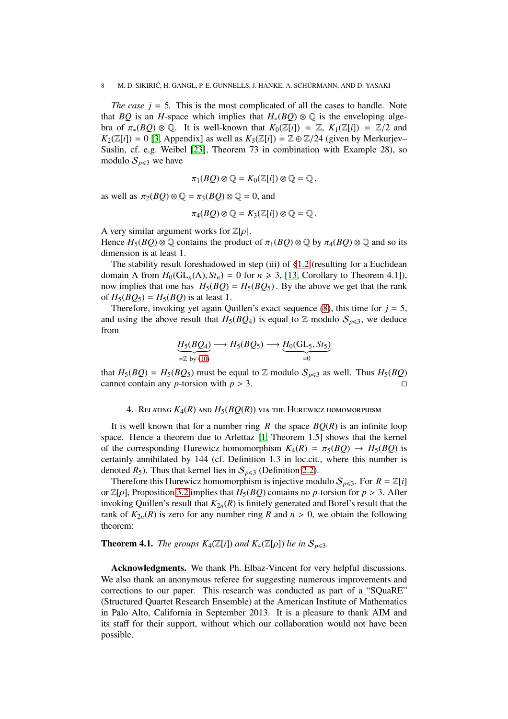*The case*  $j = 5$ *. This is the most complicated of all the cases to handle. Note* that *BQ* is an *H*-space which implies that  $H_*(BQ) \otimes \mathbb{Q}$  is the enveloping algebra of  $\pi_*(BQ) \otimes \mathbb{Q}$ . It is well-known that  $K_0(\mathbb{Z}[i]) = \mathbb{Z}, K_1(\mathbb{Z}[i]) = \mathbb{Z}/2$  and  $K_2(\mathbb{Z}[i]) = 0$  [\[3,](#page-8-22) Appendix] as well as  $K_3(\mathbb{Z}[i]) = \mathbb{Z} \oplus \mathbb{Z}/24$  (given by Merkurjev– Suslin, cf. e.g. Weibel [\[23\]](#page-8-23), Theorem 73 in combination with Example 28), so modulo  $S_{p\leq 3}$  we have

$$
\pi_1(BQ)\otimes \mathbb{Q}=K_0(\mathbb{Z}[i])\otimes \mathbb{Q}=\mathbb{Q}\,,
$$

as well as  $\pi_2(BQ) \otimes \mathbb{Q} = \pi_3(BQ) \otimes \mathbb{Q} = 0$ , and

$$
\pi_4(BQ) \otimes \mathbb{Q} = K_3(\mathbb{Z}[i]) \otimes \mathbb{Q} = \mathbb{Q}.
$$

A very similar argument works for  $\mathbb{Z}[\rho]$ . Hence  $H_5(BQ) \otimes \mathbb{Q}$  contains the product of  $\pi_1(BQ) \otimes \mathbb{Q}$  by  $\pi_4(BQ) \otimes \mathbb{Q}$  and so its dimension is at least 1.

The stability result foreshadowed in step (iii) of [§1.2](#page-1-0) (resulting for a Euclidean domain  $\Lambda$  from  $H_0(\mathrm{GL}_n(\Lambda), St_n) = 0$  for  $n \ge 3$ , [\[13,](#page-8-15) Corollary to Theorem 4.1]), now implies that one has  $H_5(BQ) = H_5(BQ_5)$ . By the above we get that the rank of  $H_5(BQ_5) = H_5(BQ)$  is at least 1.

Therefore, invoking yet again Quillen's exact sequence [\(8\)](#page-6-2), this time for  $j = 5$ , and using the above result that  $H_5(BQ_4)$  is equal to  $\mathbb Z$  modulo  $S_{p\leqslant 3}$ , we deduce from

$$
\underbrace{H_5(BQ_4)}_{=Z \text{ by (10)}} \longrightarrow H_5(BQ_5) \longrightarrow \underbrace{H_0(GL_5, St_5)}_{=0}
$$

that  $H_5(BQ) = H_5(BQ_5)$  must be equal to Z modulo  $S_{p \le 3}$  as well. Thus  $H_5(BQ)$  cannot contain any *p*-torsion with  $p > 3$ . cannot contain any *p*-torsion with  $p > 3$ .

## 4. RELATING  $K_4(R)$  and  $H_5(BQ(R))$  via the Hurewicz homomorphism

<span id="page-7-1"></span>It is well known that for a number ring *R* the space  $BO(R)$  is an infinite loop space. Hence a theorem due to Arlettaz [\[1,](#page-8-12) Theorem 1.5] shows that the kernel of the corresponding Hurewicz homomorphism  $K_4(R) = \pi_5(BQ) \rightarrow H_5(BQ)$  is certainly annihilated by 144 (cf. Definition 1.3 in loc.cit., where this number is denoted  $R_5$ ). Thus that kernel lies in  $S_{p \le 3}$  (Definition [2.2\)](#page-2-1).

Therefore this Hurewicz homomorphism is injective modulo  $S_{p\leqslant 3}$ . For  $R = \mathbb{Z}[i]$ or  $\mathbb{Z}[\rho]$ , Proposition [3.2](#page-6-5) implies that  $H_5(BQ)$  contains no *p*-torsion for  $p > 3$ . After invoking Quillen's result that  $K_{2n}(R)$  is finitely generated and Borel's result that the rank of  $K_{2n}(R)$  is zero for any number ring R and  $n > 0$ , we obtain the following theorem:

## <span id="page-7-0"></span>**Theorem 4.1.** *The groups*  $K_4(\mathbb{Z}[i])$  *and*  $K_4(\mathbb{Z}[\rho])$  *lie in*  $S_{p\leq3}$ *.*

Acknowledgments. We thank Ph. Elbaz-Vincent for very helpful discussions. We also thank an anonymous referee for suggesting numerous improvements and corrections to our paper. This research was conducted as part of a "SQuaRE" (Structured Quartet Research Ensemble) at the American Institute of Mathematics in Palo Alto, California in September 2013. It is a pleasure to thank AIM and its staff for their support, without which our collaboration would not have been possible.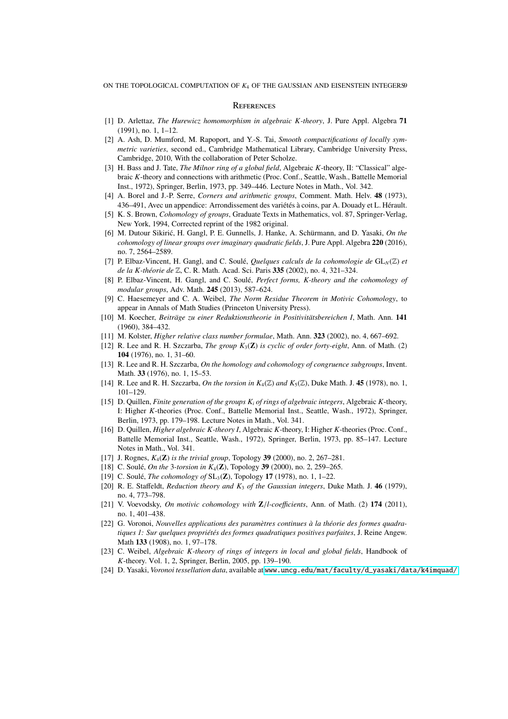### **REFERENCES**

- <span id="page-8-16"></span><span id="page-8-12"></span>[1] D. Arlettaz, *The Hurewicz homomorphism in algebraic K-theory*, J. Pure Appl. Algebra 71  $(1991)$ , no. 1, 1–12.
- [2] A. Ash, D. Mumford, M. Rapoport, and Y.-S. Tai, *Smooth compactifications of locally symmetric varieties*, second ed., Cambridge Mathematical Library, Cambridge University Press, Cambridge, 2010, With the collaboration of Peter Scholze.
- <span id="page-8-22"></span>[3] H. Bass and J. Tate, *The Milnor ring of a global field*, Algebraic *K*-theory, II: "Classical" algebraic *K*-theory and connections with arithmetic (Proc. Conf., Seattle, Wash., Battelle Memorial Inst., 1972), Springer, Berlin, 1973, pp. 349–446. Lecture Notes in Math., Vol. 342.
- <span id="page-8-20"></span><span id="page-8-19"></span>[4] A. Borel and J.-P. Serre, *Corners and arithmetic groups*, Comment. Math. Helv. 48 (1973), 436–491, Avec un appendice: Arrondissement des variétés à coins, par A. Douady et L. Hérault.
- [5] K. S. Brown, *Cohomology of groups*, Graduate Texts in Mathematics, vol. 87, Springer-Verlag, New York, 1994, Corrected reprint of the 1982 original.
- <span id="page-8-11"></span>[6] M. Dutour Sikirić, H. Gangl, P. E. Gunnells, J. Hanke, A. Schürmann, and D. Yasaki, *On the cohomology of linear groups over imaginary quadratic fields*, J. Pure Appl. Algebra 220 (2016), no. 7, 2564–2589.
- <span id="page-8-6"></span><span id="page-8-5"></span>[7] P. Elbaz-Vincent, H. Gangl, and C. Soulé, *Quelques calculs de la cohomologie de*  $GL_N(\mathbb{Z})$  *et de la K-théorie de* Z, C. R. Math. Acad. Sci. Paris 335 (2002), no. 4, 321–324.
- [8] P. Elbaz-Vincent, H. Gangl, and C. Soulé, *Perfect forms, K-theory and the cohomology of modular groups*, Adv. Math. 245 (2013), 587–624.
- <span id="page-8-10"></span>[9] C. Haesemeyer and C. A. Weibel, *The Norm Residue Theorem in Motivic Cohomology*, to appear in Annals of Math Studies (Princeton University Press).
- <span id="page-8-17"></span><span id="page-8-8"></span>[10] M. Koecher, *Beiträge zu einer Reduktionstheorie in Positivitätsbereichen I*, Math. Ann. 141 (1960), 384–432.
- <span id="page-8-2"></span>[11] M. Kolster, *Higher relative class number formulae*, Math. Ann. 323 (2002), no. 4, 667–692.
- [12] R. Lee and R. H. Szczarba, *The group K*3(Z) *is cyclic of order forty-eight*, Ann. of Math. (2) 104 (1976), no. 1, 31–60.
- <span id="page-8-15"></span><span id="page-8-3"></span>[13] R. Lee and R. H. Szczarba, *On the homology and cohomology of congruence subgroups*, Invent. Math. 33 (1976), no. 1, 15–53.
- <span id="page-8-13"></span>[14] R. Lee and R. H. Szczarba, *On the torsion in*  $K_4(\mathbb{Z})$  *and*  $K_5(\mathbb{Z})$ , Duke Math. J. 45 (1978), no. 1, 101–129.
- [15] D. Quillen, *Finite generation of the groups K<sup>i</sup> of rings of algebraic integers*, Algebraic *K*-theory, I: Higher *K*-theories (Proc. Conf., Battelle Memorial Inst., Seattle, Wash., 1972), Springer, Berlin, 1973, pp. 179–198. Lecture Notes in Math., Vol. 341.
- <span id="page-8-14"></span>[16] D. Quillen, *Higher algebraic K-theory I*, Algebraic *K*-theory, I: Higher *K*-theories (Proc. Conf., Battelle Memorial Inst., Seattle, Wash., 1972), Springer, Berlin, 1973, pp. 85–147. Lecture Notes in Math., Vol. 341.
- <span id="page-8-1"></span><span id="page-8-0"></span>[17] J. Rognes, *K*4(Z) *is the trivial group*, Topology 39 (2000), no. 2, 267–281.
- <span id="page-8-4"></span>[18] C. Soulé, *On the* 3*-torsion in K*4(Z), Topology 39 (2000), no. 2, 259–265.
- <span id="page-8-7"></span>[19] C. Soulé, *The cohomology of* SL<sub>3</sub>(**Z**), Topology **17** (1978), no. 1, 1–22.
- [20] R. E. Staffeldt, *Reduction theory and K*<sup>3</sup> *of the Gaussian integers*, Duke Math. J. 46 (1979), no. 4, 773–798.
- <span id="page-8-9"></span>[21] V. Voevodsky, *On motivic cohomology with*  $\mathbb{Z}/l$ -coefficients, Ann. of Math. (2) 174 (2011), no. 1, 401–438.
- <span id="page-8-18"></span>[22] G. Voronoi, *Nouvelles applications des paramètres continues à la théorie des formes quadratiques 1: Sur quelques propriétés des formes quadratiques positives parfaites*, J. Reine Angew. Math 133 (1908), no. 1, 97–178.
- <span id="page-8-23"></span>[23] C. Weibel, *Algebraic K-theory of rings of integers in local and global fields*, Handbook of *K*-theory. Vol. 1, 2, Springer, Berlin, 2005, pp. 139–190.
- <span id="page-8-21"></span>[24] D. Yasaki, *Voronoi tessellation data*, available at [www.uncg.edu/mat/faculty/d\\_yasaki/data/k4imquad/](www.uncg.edu/mat/faculty/d_yasaki/data/k4imquad/).